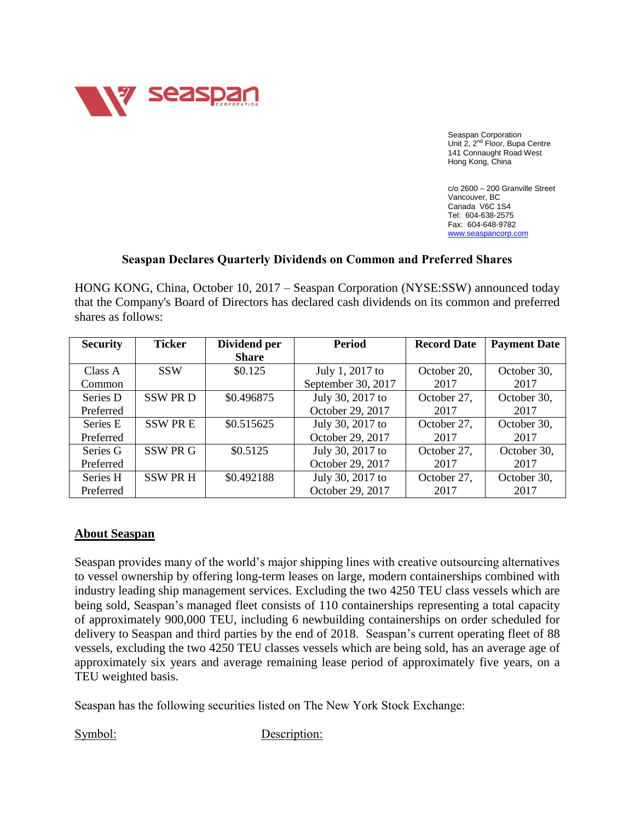

Seaspan Corporation Unit 2, 2<sup>nd</sup> Floor, Bupa Centre 141 Connaught Road West Hong Kong, China

c/o 2600 – 200 Granville Street Vancouver, BC Canada V6C 1S4 Tel: 604-638-2575 Fax: 604-648-9782 [www.seaspancorp.com](http://www.seaspancorp.com/)

## **Seaspan Declares Quarterly Dividends on Common and Preferred Shares**

HONG KONG, China, October 10, 2017 – Seaspan Corporation (NYSE:SSW) announced today that the Company's Board of Directors has declared cash dividends on its common and preferred shares as follows:

| <b>Security</b> | <b>Ticker</b>   | Dividend per | <b>Period</b>      | <b>Record Date</b> | <b>Payment Date</b> |
|-----------------|-----------------|--------------|--------------------|--------------------|---------------------|
|                 |                 | <b>Share</b> |                    |                    |                     |
| Class A         | <b>SSW</b>      | \$0.125      | July 1, 2017 to    | October 20,        | October 30,         |
| Common          |                 |              | September 30, 2017 | 2017               | 2017                |
| Series D        | <b>SSW PRD</b>  | \$0.496875   | July 30, 2017 to   | October 27,        | October 30,         |
| Preferred       |                 |              | October 29, 2017   | 2017               | 2017                |
| Series E        | <b>SSWPRE</b>   | \$0.515625   | July 30, 2017 to   | October 27,        | October 30,         |
| Preferred       |                 |              | October 29, 2017   | 2017               | 2017                |
| Series G        | SSW PR G        | \$0.5125     | July 30, 2017 to   | October 27,        | October 30,         |
| Preferred       |                 |              | October 29, 2017   | 2017               | 2017                |
| Series H        | <b>SSW PR H</b> | \$0.492188   | July 30, 2017 to   | October 27,        | October 30,         |
| Preferred       |                 |              | October 29, 2017   | 2017               | 2017                |

## **About Seaspan**

Seaspan provides many of the world's major shipping lines with creative outsourcing alternatives to vessel ownership by offering long-term leases on large, modern containerships combined with industry leading ship management services. Excluding the two 4250 TEU class vessels which are being sold, Seaspan's managed fleet consists of 110 containerships representing a total capacity of approximately 900,000 TEU, including 6 newbuilding containerships on order scheduled for delivery to Seaspan and third parties by the end of 2018. Seaspan's current operating fleet of 88 vessels, excluding the two 4250 TEU classes vessels which are being sold, has an average age of approximately six years and average remaining lease period of approximately five years, on a TEU weighted basis.

Seaspan has the following securities listed on The New York Stock Exchange:

Symbol: Description: